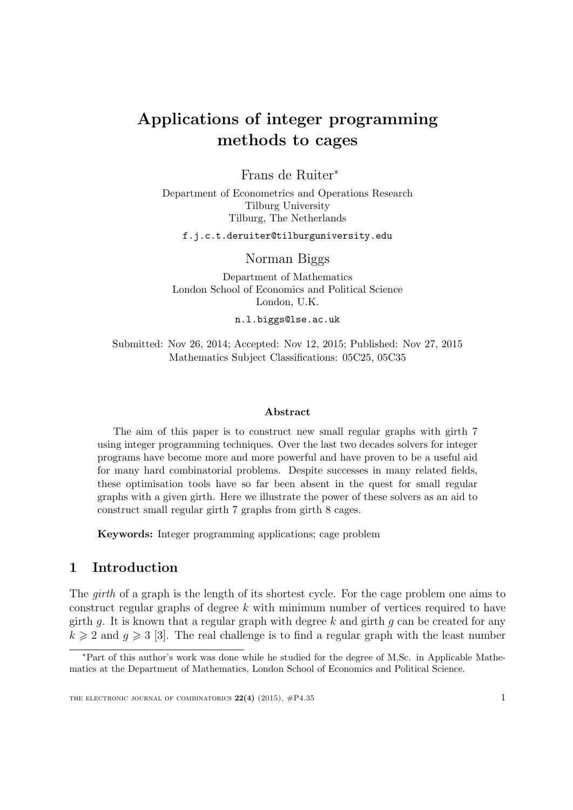# Applications of integer programming methods to cages

Frans de Ruiter<sup>∗</sup>

Department of Econometrics and Operations Research Tilburg University Tilburg, The Netherlands

f.j.c.t.deruiter@tilburguniversity.edu

Norman Biggs

Department of Mathematics London School of Economics and Political Science London, U.K.

n.l.biggs@lse.ac.uk

Submitted: Nov 26, 2014; Accepted: Nov 12, 2015; Published: Nov 27, 2015 Mathematics Subject Classifications: 05C25, 05C35

#### Abstract

The aim of this paper is to construct new small regular graphs with girth 7 using integer programming techniques. Over the last two decades solvers for integer programs have become more and more powerful and have proven to be a useful aid for many hard combinatorial problems. Despite successes in many related fields, these optimisation tools have so far been absent in the quest for small regular graphs with a given girth. Here we illustrate the power of these solvers as an aid to construct small regular girth 7 graphs from girth 8 cages.

Keywords: Integer programming applications; cage problem

# 1 Introduction

The girth of a graph is the length of its shortest cycle. For the cage problem one aims to construct regular graphs of degree  $k$  with minimum number of vertices required to have girth q. It is known that a regular graph with degree k and girth q can be created for any  $k \geq 2$  and  $q \geq 3$  [\[3\]](#page-6-0). The real challenge is to find a regular graph with the least number

<sup>∗</sup>Part of this author's work was done while he studied for the degree of M.Sc. in Applicable Mathematics at the Department of Mathematics, London School of Economics and Political Science.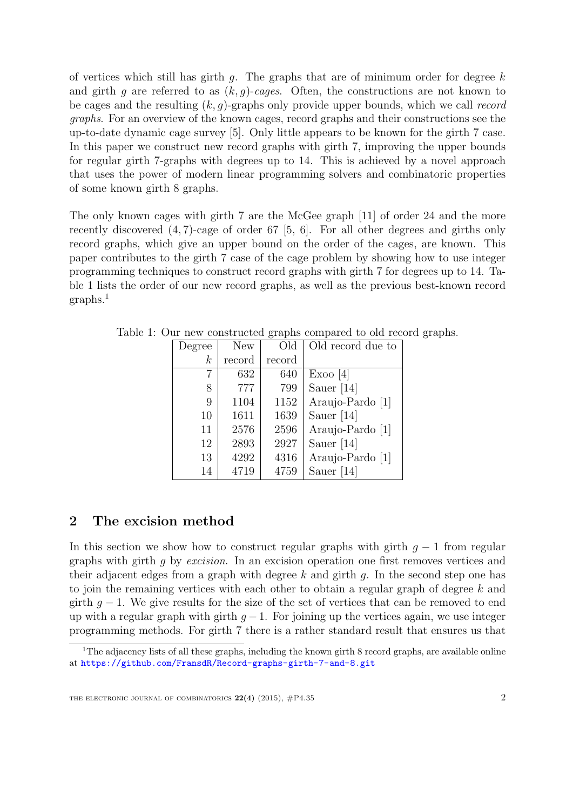of vertices which still has girth q. The graphs that are of minimum order for degree  $k$ and girth q are referred to as  $(k, q)$ -cages. Often, the constructions are not known to be cages and the resulting  $(k, g)$ -graphs only provide upper bounds, which we call record graphs. For an overview of the known cages, record graphs and their constructions see the up-to-date dynamic cage survey [\[5\]](#page-6-1). Only little appears to be known for the girth 7 case. In this paper we construct new record graphs with girth 7, improving the upper bounds for regular girth 7-graphs with degrees up to 14. This is achieved by a novel approach that uses the power of modern linear programming solvers and combinatoric properties of some known girth 8 graphs.

The only known cages with girth 7 are the McGee graph [\[11\]](#page-7-0) of order 24 and the more recently discovered (4, 7)-cage of order 67 [\[5,](#page-6-1) [6\]](#page-7-1). For all other degrees and girths only record graphs, which give an upper bound on the order of the cages, are known. This paper contributes to the girth 7 case of the cage problem by showing how to use integer programming techniques to construct record graphs with girth 7 for degrees up to 14. Table [1](#page-1-0) lists the order of our new record graphs, as well as the previous best-known record graphs.[1](#page-1-1)

<span id="page-1-0"></span>

| Degree           | <b>New</b> | Old    | Old record due to |
|------------------|------------|--------|-------------------|
| $\boldsymbol{k}$ | record     | record |                   |
| 7                | 632        | 640    | Exoo [4]          |
| 8                | 777        | 799    | Sauer $[14]$      |
| 9                | 1104       | 1152   | Araujo-Pardo [1]  |
| 10               | 1611       | 1639   | Sauer $[14]$      |
| 11               | 2576       | 2596   | Araujo-Pardo [1]  |
| 12               | 2893       | 2927   | Sauer $[14]$      |
| 13               | 4292       | 4316   | Araujo-Pardo [1]  |
| 14               | 4719       | 4759   | Sauer $[14]$      |

Table 1: Our new constructed graphs compared to old record graphs.

# 2 The excision method

In this section we show how to construct regular graphs with girth  $g - 1$  from regular graphs with girth g by excision. In an excision operation one first removes vertices and their adjacent edges from a graph with degree  $k$  and girth  $q$ . In the second step one has to join the remaining vertices with each other to obtain a regular graph of degree k and girth  $g - 1$ . We give results for the size of the set of vertices that can be removed to end up with a regular graph with girth  $q-1$ . For joining up the vertices again, we use integer programming methods. For girth 7 there is a rather standard result that ensures us that

<span id="page-1-1"></span><sup>&</sup>lt;sup>1</sup>The adjacency lists of all these graphs, including the known girth 8 record graphs, are available online at <https://github.com/FransdR/Record-graphs-girth-7-and-8.git>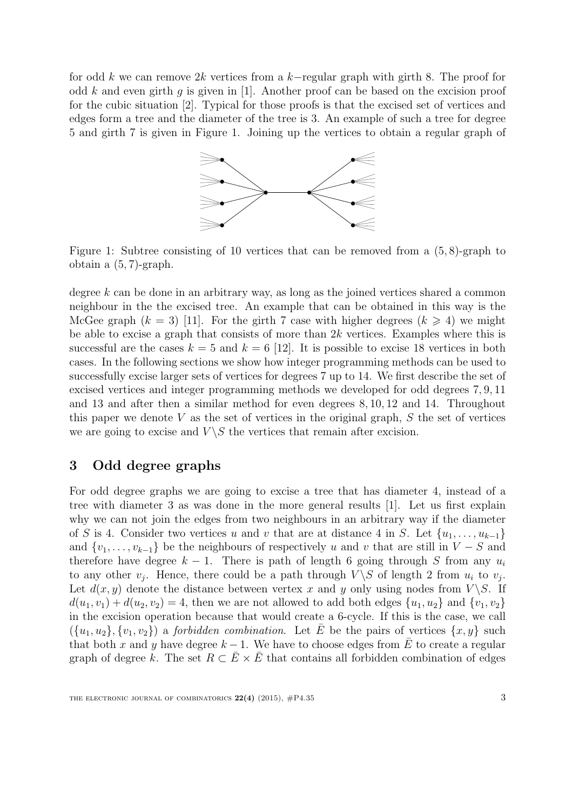for odd k we can remove 2k vertices from a k−regular graph with girth 8. The proof for odd k and even girth q is given in [\[1\]](#page-6-3). Another proof can be based on the excision proof for the cubic situation [\[2\]](#page-6-4). Typical for those proofs is that the excised set of vertices and edges form a tree and the diameter of the tree is 3. An example of such a tree for degree 5 and girth 7 is given in Figure [1.](#page-2-0) Joining up the vertices to obtain a regular graph of



<span id="page-2-0"></span>Figure 1: Subtree consisting of 10 vertices that can be removed from a (5, 8)-graph to obtain a (5, 7)-graph.

degree k can be done in an arbitrary way, as long as the joined vertices shared a common neighbour in the the excised tree. An example that can be obtained in this way is the McGee graph  $(k = 3)$  [\[11\]](#page-7-0). For the girth 7 case with higher degrees  $(k \ge 4)$  we might be able to excise a graph that consists of more than  $2k$  vertices. Examples where this is successful are the cases  $k = 5$  and  $k = 6$  [\[12\]](#page-7-3). It is possible to excise 18 vertices in both cases. In the following sections we show how integer programming methods can be used to successfully excise larger sets of vertices for degrees 7 up to 14. We first describe the set of excised vertices and integer programming methods we developed for odd degrees 7, 9, 11 and 13 and after then a similar method for even degrees 8, 10, 12 and 14. Throughout this paper we denote  $V$  as the set of vertices in the original graph,  $S$  the set of vertices we are going to excise and  $V \ S$  the vertices that remain after excision.

## <span id="page-2-1"></span>3 Odd degree graphs

For odd degree graphs we are going to excise a tree that has diameter 4, instead of a tree with diameter 3 as was done in the more general results [\[1\]](#page-6-3). Let us first explain why we can not join the edges from two neighbours in an arbitrary way if the diameter of S is 4. Consider two vertices u and v that are at distance 4 in S. Let  $\{u_1, \ldots, u_{k-1}\}\$ and  $\{v_1, \ldots, v_{k-1}\}\)$  be the neighbours of respectively u and v that are still in  $V-S$  and therefore have degree  $k - 1$ . There is path of length 6 going through S from any  $u_i$ to any other  $v_j$ . Hence, there could be a path through  $V \setminus S$  of length 2 from  $u_i$  to  $v_j$ . Let  $d(x, y)$  denote the distance between vertex x and y only using nodes from  $V \ S$ . If  $d(u_1, v_1) + d(u_2, v_2) = 4$ , then we are not allowed to add both edges  $\{u_1, u_2\}$  and  $\{v_1, v_2\}$ in the excision operation because that would create a 6-cycle. If this is the case, we call  $({u_1, u_2}, {v_1, v_2})$  a *forbidden combination*. Let  $\overline{E}$  be the pairs of vertices  $\{x, y\}$  such that both x and y have degree  $k-1$ . We have to choose edges from  $\overline{E}$  to create a regular graph of degree k. The set  $R \subset \overline{E} \times \overline{E}$  that contains all forbidden combination of edges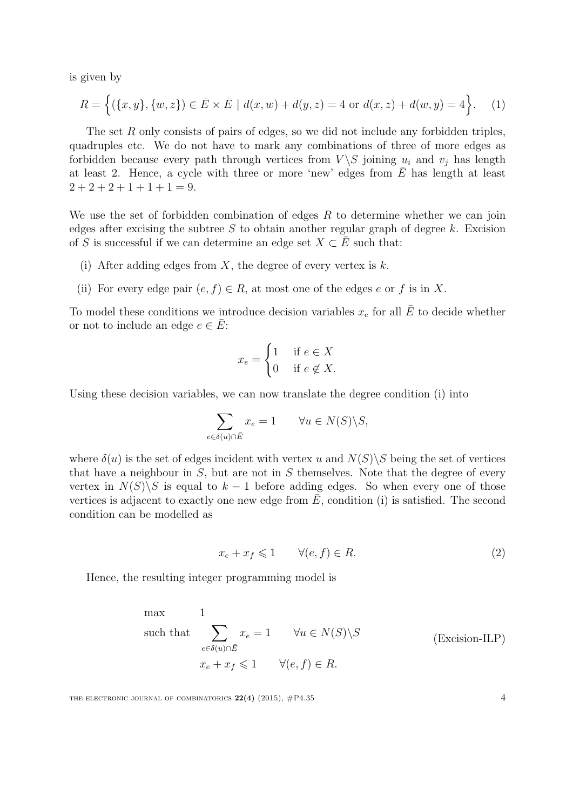is given by

$$
R = \left\{ (\{x, y\}, \{w, z\}) \in \bar{E} \times \bar{E} \mid d(x, w) + d(y, z) = 4 \text{ or } d(x, z) + d(w, y) = 4 \right\}.
$$
 (1)

The set R only consists of pairs of edges, so we did not include any forbidden triples, quadruples etc. We do not have to mark any combinations of three of more edges as forbidden because every path through vertices from  $V \ S$  joining  $u_i$  and  $v_j$  has length at least 2. Hence, a cycle with three or more 'new' edges from  $\overline{E}$  has length at least  $2+2+2+1+1+1=9.$ 

We use the set of forbidden combination of edges  $R$  to determine whether we can join edges after excising the subtree S to obtain another regular graph of degree k. Excision of S is successful if we can determine an edge set  $X \subset E$  such that:

- (i) After adding edges from X, the degree of every vertex is  $k$ .
- (ii) For every edge pair  $(e, f) \in R$ , at most one of the edges e or f is in X.

To model these conditions we introduce decision variables  $x_e$  for all  $\overline{E}$  to decide whether or not to include an edge  $e \in \overline{E}$ :

<span id="page-3-1"></span>
$$
x_e = \begin{cases} 1 & \text{if } e \in X \\ 0 & \text{if } e \notin X. \end{cases}
$$

Using these decision variables, we can now translate the degree condition (i) into

$$
\sum_{e \in \delta(u) \cap \bar{E}} x_e = 1 \qquad \forall u \in N(S) \backslash S,
$$

where  $\delta(u)$  is the set of edges incident with vertex u and  $N(S)\backslash S$  being the set of vertices that have a neighbour in  $S$ , but are not in  $S$  themselves. Note that the degree of every vertex in  $N(S)\backslash S$  is equal to  $k-1$  before adding edges. So when every one of those vertices is adjacent to exactly one new edge from  $\bar{E}$ , condition (i) is satisfied. The second condition can be modelled as

<span id="page-3-0"></span>
$$
x_e + x_f \leq 1 \qquad \forall (e, f) \in R. \tag{2}
$$

Hence, the resulting integer programming model is

max  
\nsuch that 
$$
\sum_{e \in \delta(u) \cap \overline{E}} x_e = 1 \quad \forall u \in N(S) \backslash S
$$
 (Excision-ILP)  
\n
$$
x_e + x_f \le 1 \quad \forall (e, f) \in R.
$$

THE ELECTRONIC JOURNAL OF COMBINATORICS  $22(4)$  (2015),  $\#P4.35$  4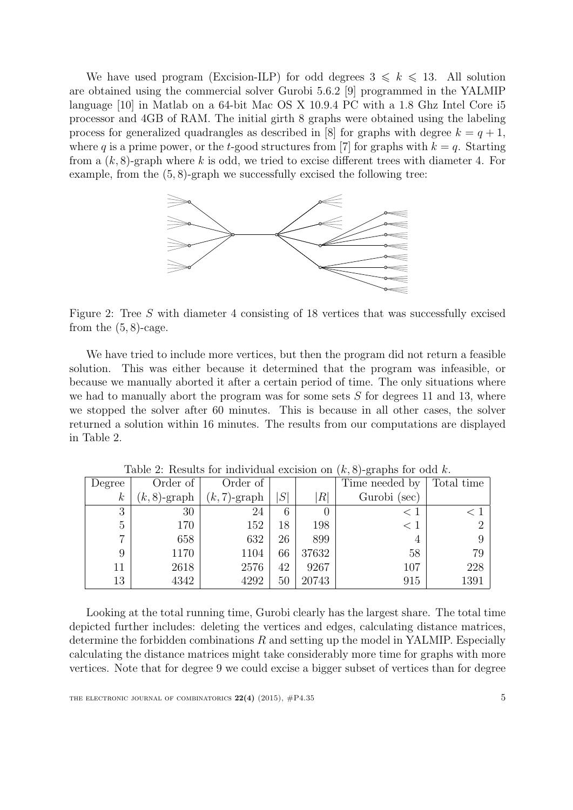We have used program [\(Excision-ILP\)](#page-3-0) for odd degrees  $3 \leq k \leq 13$ . All solution are obtained using the commercial solver Gurobi 5.6.2 [\[9\]](#page-7-4) programmed in the YALMIP language [\[10\]](#page-7-5) in Matlab on a 64-bit Mac OS X 10.9.4 PC with a 1.8 Ghz Intel Core i5 processor and 4GB of RAM. The initial girth 8 graphs were obtained using the labeling process for generalized quadrangles as described in [\[8\]](#page-7-6) for graphs with degree  $k = q + 1$ , where q is a prime power, or the t-good structures from [\[7\]](#page-7-7) for graphs with  $k = q$ . Starting from a  $(k, 8)$ -graph where k is odd, we tried to excise different trees with diameter 4. For example, from the  $(5, 8)$ -graph we successfully excised the following tree:



<span id="page-4-1"></span>Figure 2: Tree S with diameter 4 consisting of 18 vertices that was successfully excised from the  $(5, 8)$ -cage.

We have tried to include more vertices, but then the program did not return a feasible solution. This was either because it determined that the program was infeasible, or because we manually aborted it after a certain period of time. The only situations where we had to manually abort the program was for some sets  $S$  for degrees 11 and 13, where we stopped the solver after 60 minutes. This is because in all other cases, the solver returned a solution within 16 minutes. The results from our computations are displayed in Table [2.](#page-4-0)

| Degree           | Order of        | Order of       |    |          | Time needed by | Total time     |
|------------------|-----------------|----------------|----|----------|----------------|----------------|
| $\boldsymbol{k}$ | $(k, 8)$ -graph | $(k,7)$ -graph | S  | R        | Gurobi (sec)   |                |
| 3                | 30              | 24             | 6  | $\theta$ | < 1            |                |
| $\overline{5}$   | 170             | 152            | 18 | 198      | < 1            | 2 <sup>1</sup> |
| 7                | 658             | 632            | 26 | 899      |                | 9              |
| 9                | 1170            | 1104           | 66 | 37632    | 58             | 79             |
| 11               | 2618            | 2576           | 42 | 9267     | 107            | 228            |
| 13               | 4342            | 4292           | 50 | 20743    | 915            | 1391           |

<span id="page-4-0"></span>Table 2: Results for individual excision on  $(k, 8)$ -graphs for odd k.

Looking at the total running time, Gurobi clearly has the largest share. The total time depicted further includes: deleting the vertices and edges, calculating distance matrices, determine the forbidden combinations  $R$  and setting up the model in YALMIP. Especially calculating the distance matrices might take considerably more time for graphs with more vertices. Note that for degree 9 we could excise a bigger subset of vertices than for degree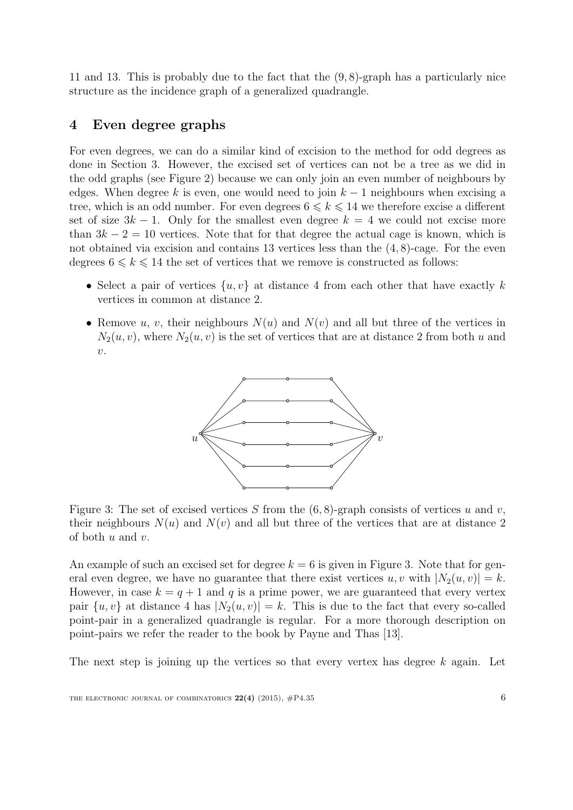11 and 13. This is probably due to the fact that the (9, 8)-graph has a particularly nice structure as the incidence graph of a generalized quadrangle.

### 4 Even degree graphs

For even degrees, we can do a similar kind of excision to the method for odd degrees as done in Section [3.](#page-2-1) However, the excised set of vertices can not be a tree as we did in the odd graphs (see Figure [2\)](#page-4-1) because we can only join an even number of neighbours by edges. When degree k is even, one would need to join  $k-1$  neighbours when excising a tree, which is an odd number. For even degrees  $6 \leq k \leq 14$  we therefore excise a different set of size  $3k - 1$ . Only for the smallest even degree  $k = 4$  we could not excise more than  $3k - 2 = 10$  vertices. Note that for that degree the actual cage is known, which is not obtained via excision and contains 13 vertices less than the (4, 8)-cage. For the even degrees  $6 \leq k \leq 14$  the set of vertices that we remove is constructed as follows:

- Select a pair of vertices  $\{u, v\}$  at distance 4 from each other that have exactly k vertices in common at distance 2.
- Remove u, v, their neighbours  $N(u)$  and  $N(v)$  and all but three of the vertices in  $N_2(u, v)$ , where  $N_2(u, v)$  is the set of vertices that are at distance 2 from both u and  $\overline{v}$ .



<span id="page-5-0"></span>Figure 3: The set of excised vertices S from the  $(6, 8)$ -graph consists of vertices u and v, their neighbours  $N(u)$  and  $N(v)$  and all but three of the vertices that are at distance 2 of both  $u$  and  $v$ .

An example of such an excised set for degree  $k = 6$  is given in Figure [3.](#page-5-0) Note that for general even degree, we have no guarantee that there exist vertices u, v with  $|N_2(u, v)| = k$ . However, in case  $k = q + 1$  and q is a prime power, we are guaranteed that every vertex pair  $\{u, v\}$  at distance 4 has  $|N_2(u, v)| = k$ . This is due to the fact that every so-called point-pair in a generalized quadrangle is regular. For a more thorough description on point-pairs we refer the reader to the book by Payne and Thas [\[13\]](#page-7-8).

The next step is joining up the vertices so that every vertex has degree  $k$  again. Let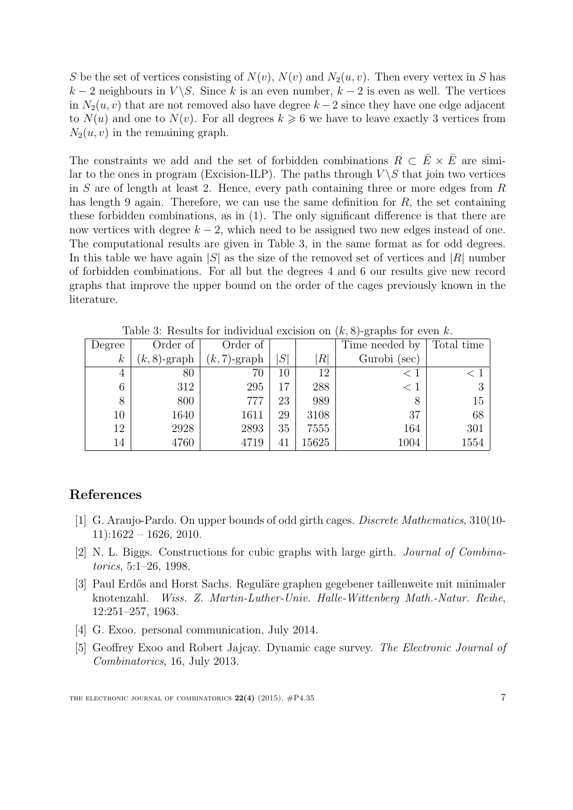S be the set of vertices consisting of  $N(v)$ ,  $N(v)$  and  $N_2(u, v)$ . Then every vertex in S has  $k-2$  neighbours in  $V \setminus S$ . Since k is an even number,  $k-2$  is even as well. The vertices in  $N_2(u, v)$  that are not removed also have degree  $k - 2$  since they have one edge adjacent to  $N(u)$  and one to  $N(v)$ . For all degrees  $k \geq 6$  we have to leave exactly 3 vertices from  $N_2(u, v)$  in the remaining graph.

The constraints we add and the set of forbidden combinations  $R \subset \overline{E} \times \overline{E}$  are simi-lar to the ones in program [\(Excision-ILP\)](#page-3-0). The paths through  $V \setminus S$  that join two vertices in S are of length at least 2. Hence, every path containing three or more edges from  $R$ has length 9 again. Therefore, we can use the same definition for  $R$ , the set containing these forbidden combinations, as in [\(1\)](#page-3-1). The only significant difference is that there are now vertices with degree  $k - 2$ , which need to be assigned two new edges instead of one. The computational results are given in Table [3,](#page-6-5) in the same format as for odd degrees. In this table we have again |S| as the size of the removed set of vertices and |R| number of forbidden combinations. For all but the degrees 4 and 6 our results give new record graphs that improve the upper bound on the order of the cages previously known in the literature.

| Degree           | Order of        | Order of       |        |       | Time needed by | Total time     |
|------------------|-----------------|----------------|--------|-------|----------------|----------------|
| $\boldsymbol{k}$ | $(k, 8)$ -graph | $(k,7)$ -graph | S      | R     | Gurobi (sec)   |                |
| 4                | 80              | $70\,$         | 10     | 12    | < 1            |                |
| 6                | 312             | 295            | $17\,$ | 288   | < 1            | 3 <sup>1</sup> |
| 8                | 800             | 777            | 23     | 989   |                | 15             |
| $10\,$           | 1640            | 1611           | 29     | 3108  | 37             | 68             |
| 12               | 2928            | 2893           | 35     | 7555  | 164            | 301            |
| 14               | 4760            | 4719           | 41     | 15625 | 1004           | 1554           |

<span id="page-6-5"></span>Table 3: Results for individual excision on  $(k, 8)$ -graphs for even k.

#### References

- <span id="page-6-3"></span>[1] G. Araujo-Pardo. On upper bounds of odd girth cages. Discrete Mathematics, 310(10-  $11$ :1622 – 1626, 2010.
- <span id="page-6-4"></span>[2] N. L. Biggs. Constructions for cubic graphs with large girth. Journal of Combinatorics, 5:1–26, 1998.
- <span id="page-6-0"></span>[3] Paul Erdős and Horst Sachs. Reguläre graphen gegebener taillenweite mit minimaler knotenzahl. Wiss. Z. Martin-Luther-Univ. Halle-Wittenberg Math.-Natur. Reihe, 12:251–257, 1963.
- <span id="page-6-2"></span>[4] G. Exoo. personal communication, July 2014.
- <span id="page-6-1"></span>[5] Geoffrey Exoo and Robert Jajcay. Dynamic cage survey. The Electronic Journal of Combinatorics, 16, July 2013.